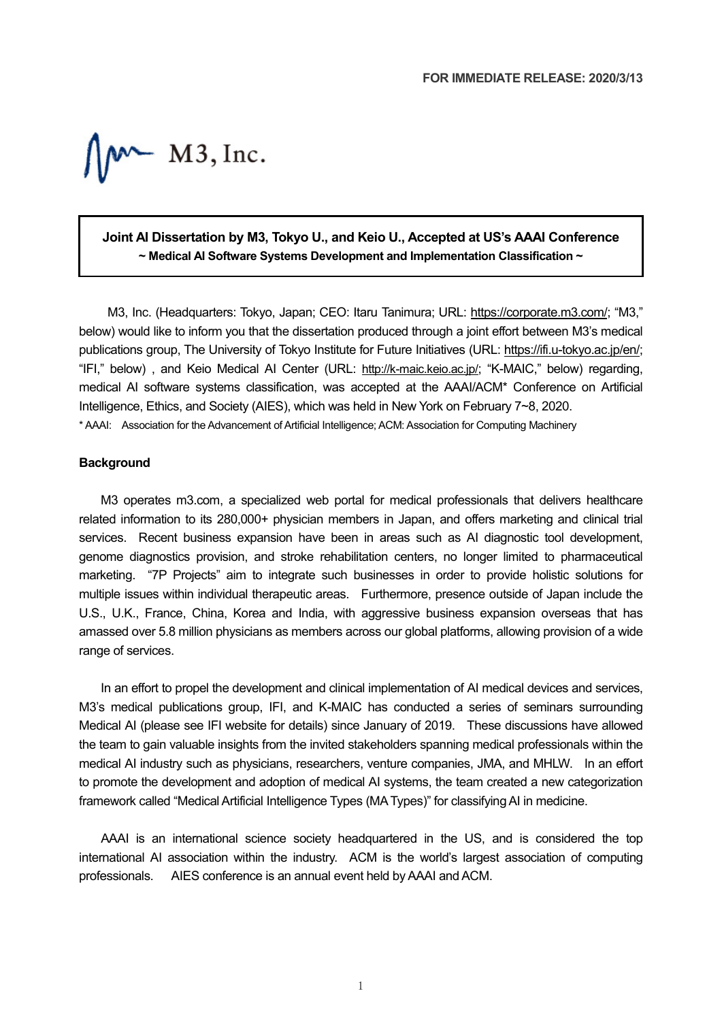$M^{\sim}$  M3, Inc.

# **Joint AI Dissertation by M3, Tokyo U., and Keio U., Accepted at US's AAAI Conference ~ Medical AI Software Systems Development and Implementation Classification ~**

M3, Inc. (Headquarters: Tokyo, Japan; CEO: Itaru Tanimura; URL: [https://corporate.m3.com/;](https://corporate.m3.com/) "M3," below) would like to inform you that the dissertation produced through a joint effort between M3's medical publications group, The University of Tokyo Institute for Future Initiatives (URL: [https://ifi.u-tokyo.ac.jp/en/;](https://ifi.u-tokyo.ac.jp/en/) "IFI," below) , and Keio Medical AI Center (URL: [http://k-maic.keio.ac.jp/;](http://k-maic.keio.ac.jp/) "K-MAIC," below) regarding, medical AI software systems classification, was accepted at the AAAI/ACM\* Conference on Artificial Intelligence, Ethics, and Society (AIES), which was held in New York on February 7~8, 2020. \* AAAI: Association for the Advancement of Artificial Intelligence; ACM: Association for Computing Machinery

#### **Background**

M3 operates m3.com, a specialized web portal for medical professionals that delivers healthcare related information to its 280,000+ physician members in Japan, and offers marketing and clinical trial services. Recent business expansion have been in areas such as AI diagnostic tool development, genome diagnostics provision, and stroke rehabilitation centers, no longer limited to pharmaceutical marketing. "7P Projects" aim to integrate such businesses in order to provide holistic solutions for multiple issues within individual therapeutic areas. Furthermore, presence outside of Japan include the U.S., U.K., France, China, Korea and India, with aggressive business expansion overseas that has amassed over 5.8 million physicians as members across our global platforms, allowing provision of a wide range of services.

In an effort to propel the development and clinical implementation of AI medical devices and services, M3's medical publications group, IFI, and K-MAIC has conducted a series of seminars surrounding Medical AI (please see IFI website for details) since January of 2019. These discussions have allowed the team to gain valuable insights from the invited stakeholders spanning medical professionals within the medical AI industry such as physicians, researchers, venture companies, JMA, and MHLW. In an effort to promote the development and adoption of medical AI systems, the team created a new categorization framework called "Medical Artificial Intelligence Types (MA Types)" for classifyingAI in medicine.

AAAI is an international science society headquartered in the US, and is considered the top international AI association within the industry. ACM is the world's largest association of computing professionals. AIES conference is an annual event held by AAAI and ACM.